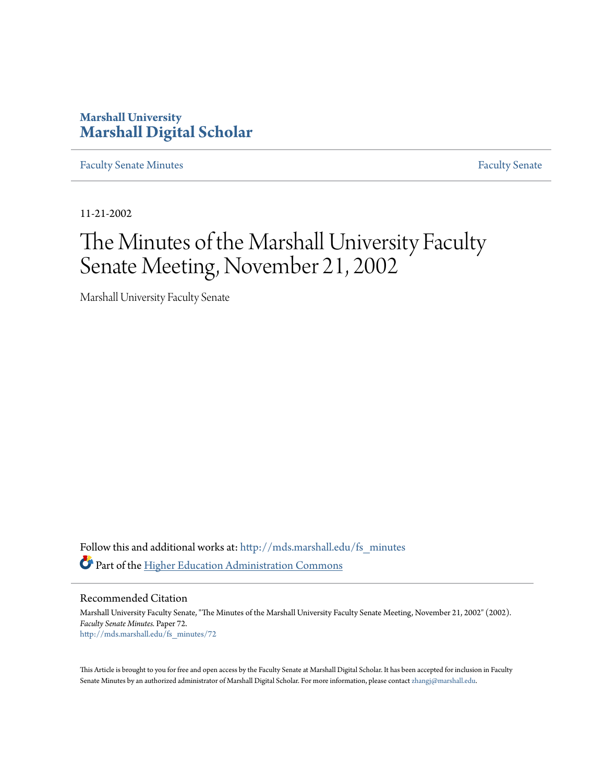# **Marshall University [Marshall Digital Scholar](http://mds.marshall.edu?utm_source=mds.marshall.edu%2Ffs_minutes%2F72&utm_medium=PDF&utm_campaign=PDFCoverPages)**

[Faculty Senate Minutes](http://mds.marshall.edu/fs_minutes?utm_source=mds.marshall.edu%2Ffs_minutes%2F72&utm_medium=PDF&utm_campaign=PDFCoverPages) [Faculty Senate](http://mds.marshall.edu/fs?utm_source=mds.marshall.edu%2Ffs_minutes%2F72&utm_medium=PDF&utm_campaign=PDFCoverPages)

11-21-2002

# The Minutes of the Marshall University Faculty Senate Meeting, November 21, 2002

Marshall University Faculty Senate

Follow this and additional works at: [http://mds.marshall.edu/fs\\_minutes](http://mds.marshall.edu/fs_minutes?utm_source=mds.marshall.edu%2Ffs_minutes%2F72&utm_medium=PDF&utm_campaign=PDFCoverPages) Part of the [Higher Education Administration Commons](http://network.bepress.com/hgg/discipline/791?utm_source=mds.marshall.edu%2Ffs_minutes%2F72&utm_medium=PDF&utm_campaign=PDFCoverPages)

Recommended Citation

Marshall University Faculty Senate, "The Minutes of the Marshall University Faculty Senate Meeting, November 21, 2002" (2002). *Faculty Senate Minutes.* Paper 72. [http://mds.marshall.edu/fs\\_minutes/72](http://mds.marshall.edu/fs_minutes/72?utm_source=mds.marshall.edu%2Ffs_minutes%2F72&utm_medium=PDF&utm_campaign=PDFCoverPages)

This Article is brought to you for free and open access by the Faculty Senate at Marshall Digital Scholar. It has been accepted for inclusion in Faculty Senate Minutes by an authorized administrator of Marshall Digital Scholar. For more information, please contact [zhangj@marshall.edu](mailto:zhangj@marshall.edu).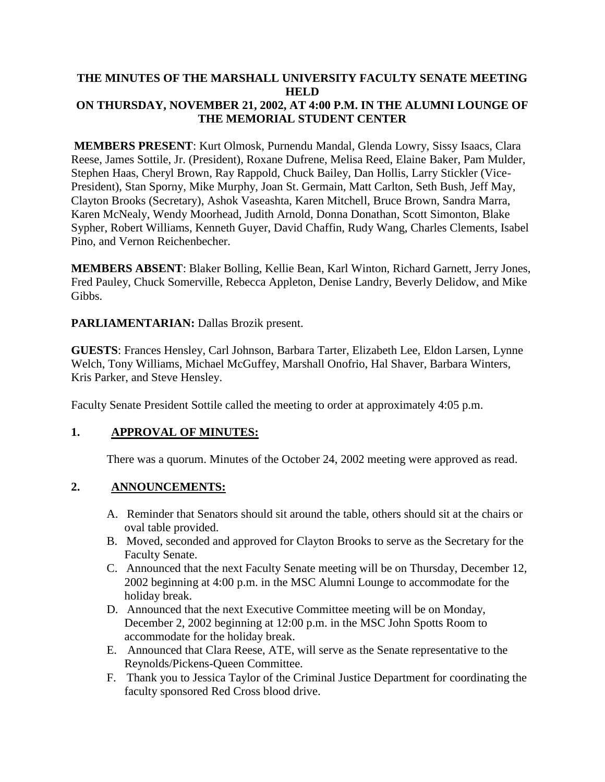#### **THE MINUTES OF THE MARSHALL UNIVERSITY FACULTY SENATE MEETING HELD ON THURSDAY, NOVEMBER 21, 2002, AT 4:00 P.M. IN THE ALUMNI LOUNGE OF THE MEMORIAL STUDENT CENTER**

**MEMBERS PRESENT**: Kurt Olmosk, Purnendu Mandal, Glenda Lowry, Sissy Isaacs, Clara Reese, James Sottile, Jr. (President), Roxane Dufrene, Melisa Reed, Elaine Baker, Pam Mulder, Stephen Haas, Cheryl Brown, Ray Rappold, Chuck Bailey, Dan Hollis, Larry Stickler (Vice-President), Stan Sporny, Mike Murphy, Joan St. Germain, Matt Carlton, Seth Bush, Jeff May, Clayton Brooks (Secretary), Ashok Vaseashta, Karen Mitchell, Bruce Brown, Sandra Marra, Karen McNealy, Wendy Moorhead, Judith Arnold, Donna Donathan, Scott Simonton, Blake Sypher, Robert Williams, Kenneth Guyer, David Chaffin, Rudy Wang, Charles Clements, Isabel Pino, and Vernon Reichenbecher.

**MEMBERS ABSENT**: Blaker Bolling, Kellie Bean, Karl Winton, Richard Garnett, Jerry Jones, Fred Pauley, Chuck Somerville, Rebecca Appleton, Denise Landry, Beverly Delidow, and Mike Gibbs.

**PARLIAMENTARIAN:** Dallas Brozik present.

**GUESTS**: Frances Hensley, Carl Johnson, Barbara Tarter, Elizabeth Lee, Eldon Larsen, Lynne Welch, Tony Williams, Michael McGuffey, Marshall Onofrio, Hal Shaver, Barbara Winters, Kris Parker, and Steve Hensley.

Faculty Senate President Sottile called the meeting to order at approximately 4:05 p.m.

#### **1. APPROVAL OF MINUTES:**

There was a quorum. Minutes of the October 24, 2002 meeting were approved as read.

#### **2. ANNOUNCEMENTS:**

- A. Reminder that Senators should sit around the table, others should sit at the chairs or oval table provided.
- B. Moved, seconded and approved for Clayton Brooks to serve as the Secretary for the Faculty Senate.
- C. Announced that the next Faculty Senate meeting will be on Thursday, December 12, 2002 beginning at 4:00 p.m. in the MSC Alumni Lounge to accommodate for the holiday break.
- D. Announced that the next Executive Committee meeting will be on Monday, December 2, 2002 beginning at 12:00 p.m. in the MSC John Spotts Room to accommodate for the holiday break.
- E. Announced that Clara Reese, ATE, will serve as the Senate representative to the Reynolds/Pickens-Queen Committee.
- F. Thank you to Jessica Taylor of the Criminal Justice Department for coordinating the faculty sponsored Red Cross blood drive.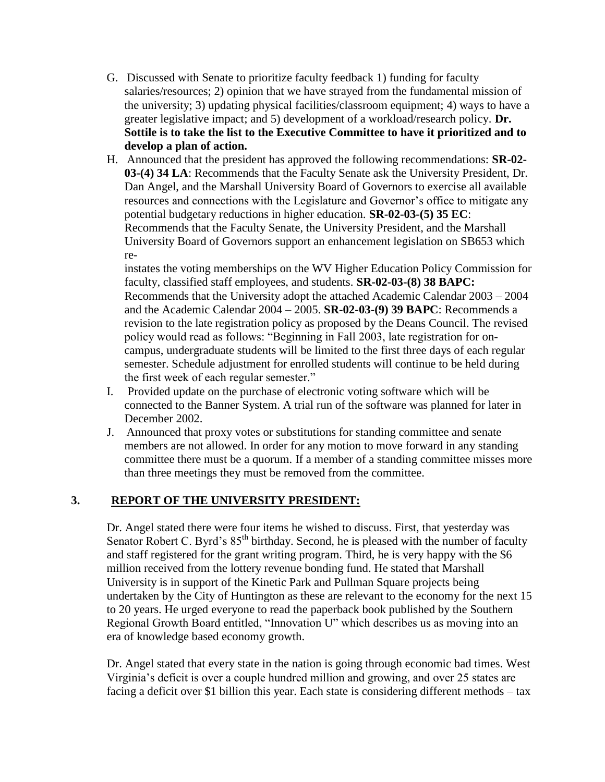- G. Discussed with Senate to prioritize faculty feedback 1) funding for faculty salaries/resources; 2) opinion that we have strayed from the fundamental mission of the university; 3) updating physical facilities/classroom equipment; 4) ways to have a greater legislative impact; and 5) development of a workload/research policy. **Dr. Sottile is to take the list to the Executive Committee to have it prioritized and to develop a plan of action.**
- H. Announced that the president has approved the following recommendations: **SR-02- 03-(4) 34 LA**: Recommends that the Faculty Senate ask the University President, Dr. Dan Angel, and the Marshall University Board of Governors to exercise all available resources and connections with the Legislature and Governor's office to mitigate any potential budgetary reductions in higher education. **SR-02-03-(5) 35 EC**: Recommends that the Faculty Senate, the University President, and the Marshall University Board of Governors support an enhancement legislation on SB653 which re-

instates the voting memberships on the WV Higher Education Policy Commission for faculty, classified staff employees, and students. **SR-02-03-(8) 38 BAPC:** Recommends that the University adopt the attached Academic Calendar 2003 – 2004 and the Academic Calendar 2004 – 2005. **SR-02-03-(9) 39 BAPC**: Recommends a revision to the late registration policy as proposed by the Deans Council. The revised policy would read as follows: "Beginning in Fall 2003, late registration for oncampus, undergraduate students will be limited to the first three days of each regular semester. Schedule adjustment for enrolled students will continue to be held during the first week of each regular semester."

- I. Provided update on the purchase of electronic voting software which will be connected to the Banner System. A trial run of the software was planned for later in December 2002.
- J. Announced that proxy votes or substitutions for standing committee and senate members are not allowed. In order for any motion to move forward in any standing committee there must be a quorum. If a member of a standing committee misses more than three meetings they must be removed from the committee.

## **3. REPORT OF THE UNIVERSITY PRESIDENT:**

Dr. Angel stated there were four items he wished to discuss. First, that yesterday was Senator Robert C. Byrd's  $85<sup>th</sup>$  birthday. Second, he is pleased with the number of faculty and staff registered for the grant writing program. Third, he is very happy with the \$6 million received from the lottery revenue bonding fund. He stated that Marshall University is in support of the Kinetic Park and Pullman Square projects being undertaken by the City of Huntington as these are relevant to the economy for the next 15 to 20 years. He urged everyone to read the paperback book published by the Southern Regional Growth Board entitled, "Innovation U" which describes us as moving into an era of knowledge based economy growth.

Dr. Angel stated that every state in the nation is going through economic bad times. West Virginia's deficit is over a couple hundred million and growing, and over 25 states are facing a deficit over \$1 billion this year. Each state is considering different methods – tax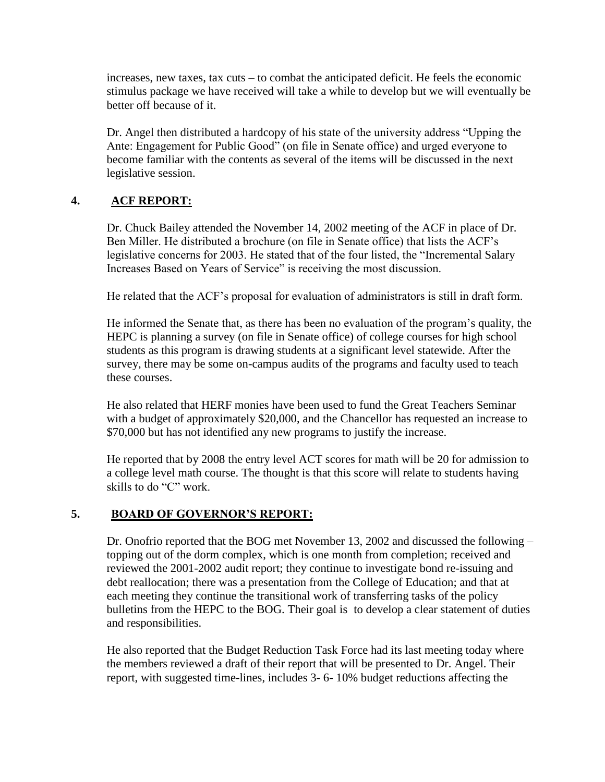increases, new taxes, tax cuts – to combat the anticipated deficit. He feels the economic stimulus package we have received will take a while to develop but we will eventually be better off because of it.

Dr. Angel then distributed a hardcopy of his state of the university address "Upping the Ante: Engagement for Public Good" (on file in Senate office) and urged everyone to become familiar with the contents as several of the items will be discussed in the next legislative session.

### **4. ACF REPORT:**

Dr. Chuck Bailey attended the November 14, 2002 meeting of the ACF in place of Dr. Ben Miller. He distributed a brochure (on file in Senate office) that lists the ACF's legislative concerns for 2003. He stated that of the four listed, the "Incremental Salary Increases Based on Years of Service" is receiving the most discussion.

He related that the ACF's proposal for evaluation of administrators is still in draft form.

He informed the Senate that, as there has been no evaluation of the program's quality, the HEPC is planning a survey (on file in Senate office) of college courses for high school students as this program is drawing students at a significant level statewide. After the survey, there may be some on-campus audits of the programs and faculty used to teach these courses.

He also related that HERF monies have been used to fund the Great Teachers Seminar with a budget of approximately \$20,000, and the Chancellor has requested an increase to \$70,000 but has not identified any new programs to justify the increase.

He reported that by 2008 the entry level ACT scores for math will be 20 for admission to a college level math course. The thought is that this score will relate to students having skills to do "C" work.

#### **5. BOARD OF GOVERNOR'S REPORT:**

Dr. Onofrio reported that the BOG met November 13, 2002 and discussed the following – topping out of the dorm complex, which is one month from completion; received and reviewed the 2001-2002 audit report; they continue to investigate bond re-issuing and debt reallocation; there was a presentation from the College of Education; and that at each meeting they continue the transitional work of transferring tasks of the policy bulletins from the HEPC to the BOG. Their goal is to develop a clear statement of duties and responsibilities.

He also reported that the Budget Reduction Task Force had its last meeting today where the members reviewed a draft of their report that will be presented to Dr. Angel. Their report, with suggested time-lines, includes 3- 6- 10% budget reductions affecting the